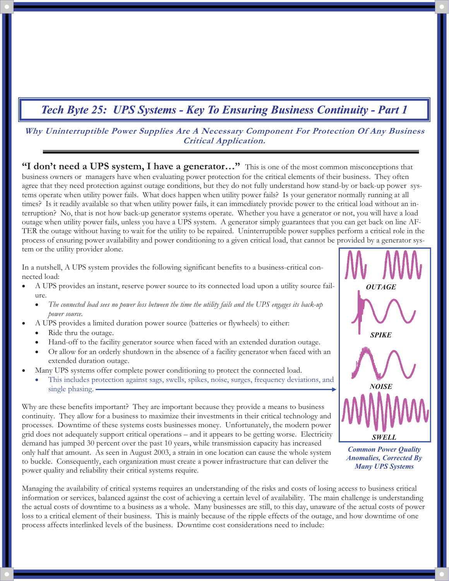### **Why Uninterruptible Power Supplies Are A Necessary Component For Protection Of Any Business Critical Application.**

**"I don't need a UPS system, I have a generator…"** This is one of the most common misconceptions that business owners or managers have when evaluating power protection for the critical elements of their business. They often agree that they need protection against outage conditions, but they do not fully understand how stand-by or back-up power systems operate when utility power fails. What does happen when utility power fails? Is your generator normally running at all times? Is it readily available so that when utility power fails, it can immediately provide power to the critical load without an interruption? No, that is not how back-up generator systems operate. Whether you have a generator or not, you will have a load outage when utility power fails, unless you have a UPS system. A generator simply guarantees that you can get back on line AF-TER the outage without having to wait for the utility to be repaired. Uninterruptible power supplies perform a critical role in the process of ensuring power availability and power conditioning to a given critical load, that cannot be provided by a generator system or the utility provider alone.

In a nutshell, A UPS system provides the following significant benefits to a business-critical connected load:

- - A UPS provides an instant, reserve power source to its connected load upon a utility source failure.
	- - *The connected load sees no power loss between the time the utility fails and the UPS engages its back-up power source.*
- - A UPS provides a limited duration power source (batteries or flywheels) to either:
	- -Ride thru the outage.

1

- -Hand-off to the facility generator source when faced with an extended duration outage.
- - Or allow for an orderly shutdown in the absence of a facility generator when faced with an extended duration outage.
- - Many UPS systems offer complete power conditioning to protect the connected load.
	- - This includes protection against sags, swells, spikes, noise, surges, frequency deviations, and single phasing. -

Why are these benefits important? They are important because they provide a means to business continuity. They allow for a business to maximize their investments in their critical technology and processes. Downtime of these systems costs businesses money. Unfortunately, the modern power grid does not adequately support critical operations – and it appears to be getting worse. Electricity demand has jumped 30 percent over the past 10 years, while transmission capacity has increased only half that amount. As seen in August 2003, a strain in one location can cause the whole system to buckle. Consequently, each organization must create a power infrastructure that can deliver the power quality and reliability their critical systems require.



*Common Power Quality Anomalies, Corrected By Many UPS Systems* 

Managing the availability of critical systems requires an understanding of the risks and costs of losing access to business critical information or services, balanced against the cost of achieving a certain level of availability. The main challenge is understanding the actual costs of downtime to a business as a whole. Many businesses are still, to this day, unaware of the actual costs of power loss to a critical element of their business. This is mainly because of the ripple effects of the outage, and how downtime of one process affects interlinked levels of the business. Downtime cost considerations need to include: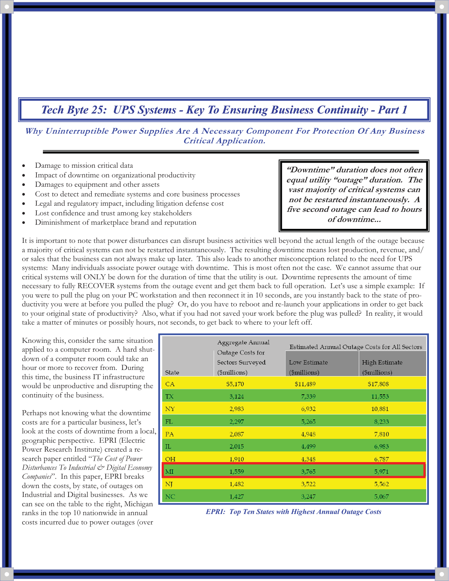**Why Uninterruptible Power Supplies Are A Necessary Component For Protection Of Any Business Critical Application.** 

- -Damage to mission critical data
- -Impact of downtime on organizational productivity
- -Damages to equipment and other assets
- -Cost to detect and remediate systems and core business processes
- -Legal and regulatory impact, including litigation defense cost
- -Lost confidence and trust among key stakeholders
- -Diminishment of marketplace brand and reputation

**"Downtime" duration does not often equal utility "outage" duration. The vast majority of critical systems can not be restarted instantaneously. A five second outage can lead to hours of downtime...** 

It is important to note that power disturbances can disrupt business activities well beyond the actual length of the outage because a majority of critical systems can not be restarted instantaneously. The resulting downtime means lost production, revenue, and/ or sales that the business can not always make up later. This also leads to another misconception related to the need for UPS systems: Many individuals associate power outage with downtime. This is most often not the case. We cannot assume that our critical systems will ONLY be down for the duration of time that the utility is out. Downtime represents the amount of time necessary to fully RECOVER systems from the outage event and get them back to full operation. Let's use a simple example: If you were to pull the plug on your PC workstation and then reconnect it in 10 seconds, are you instantly back to the state of productivity you were at before you pulled the plug? Or, do you have to reboot and re-launch your applications in order to get back to your original state of productivity? Also, what if you had not saved your work before the plug was pulled? In reality, it would take a matter of minutes or possibly hours, not seconds, to get back to where to your left off.

Knowing this, consider the same situation applied to a computer room. A hard shutdown of a computer room could take an hour or more to recover from. During this time, the business IT infrastructure would be unproductive and disrupting the continuity of the business.

Perhaps not knowing what the downtime costs are for a particular business, let's look at the costs of downtime from a local, geographic perspective. EPRI (Electric Power Research Institute) created a research paper entitled "*The Cost of Power Disturbances To Industrial & Digital Economy Companies*". In this paper, EPRI breaks down the costs, by state, of outages on Industrial and Digital businesses. As we can see on the table to the right, Michigan ranks in the top 10 nationwide in annual costs incurred due to power outages (over

2

| State | Aggregate Annual<br>Outage Costs for<br>Sectors Surveyed<br>(\$millions) | Estimated Annual Outage Costs for All Sectors |                                       |
|-------|--------------------------------------------------------------------------|-----------------------------------------------|---------------------------------------|
|       |                                                                          | Low Estimate<br>(\$millions)                  | High Estimate<br>$(\text{Imillions})$ |
| CA    | \$5,170                                                                  | \$11,489                                      | \$17,808                              |
| TX.   | 3,124                                                                    | 7,339                                         | 11,553                                |
| NY    | 2,983                                                                    | 6,932                                         | 10,881                                |
| FL    | 2,297                                                                    | 5,265                                         | 8,233                                 |
| PA    | 2,087                                                                    | 4,948                                         | 7,810                                 |
| IL    | 2,015                                                                    | 4,499                                         | 6,983                                 |
| OH    | 1,910                                                                    | 4,348                                         | 6,787                                 |
| MI    | 1,559                                                                    | 3,765                                         | 5,971                                 |
| NJ    | 1,482                                                                    | 3,522                                         | 5,562                                 |
| NC    | 1,427                                                                    | 3,247                                         | 5,067                                 |

*EPRI: Top Ten States with Highest Annual Outage Costs*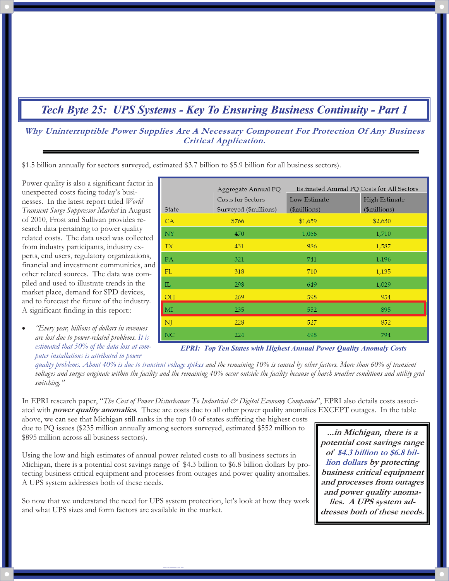**Why Uninterruptible Power Supplies Are A Necessary Component For Protection Of Any Business Critical Application.** 

\$1.5 billion annually for sectors surveyed, estimated \$3.7 billion to \$5.9 billion for all business sectors).

Power quality is also a significant factor in unexpected costs facing today's businesses. In the latest report titled *World Transient Surge Suppressor Market* in August of 2010, Frost and Sullivan provides research data pertaining to power quality related costs. The data used was collected from industry participants, industry experts, end users, regulatory organizations, financial and investment communities, and other related sources. The data was compiled and used to illustrate trends in the market place, demand for SPD devices, and to forecast the future of the industry. A significant finding in this report::

- *"Every year, billions of dollars in revenues are lost due to power-related problems. It is estimated that 50% of the data loss at computer installations is attributed to power* 

3

|            | Aggregate Annual PQ   | Estimated Annual PQ Costs for All Sectors |               |
|------------|-----------------------|-------------------------------------------|---------------|
|            | Costs for Sectors     | Low Estimate                              | High Estimate |
| State      | Surveyed (\$millions) | (\$millions)                              | (\$millions)  |
| CA         | \$766                 | \$1,659                                   | \$2,630       |
| NY         | 470                   | 1,066                                     | 1,710         |
| TX         | 431                   | 986                                       | 1,587         |
| PA         | 321                   | 741                                       | 1,196         |
| ${\rm FL}$ | 318                   | 710                                       | 1,135         |
| IL         | 298                   | 649                                       | 1,029         |
| OH         | 269                   | 598                                       | 954           |
| MI         | 235                   | 552                                       | 895           |
| NJ         | 228                   | 527                                       | 852           |
|            | 224                   | 498                                       | 794           |

*EPRI: Top Ten States with Highest Annual Power Quality Anomaly Costs* 

*quality problems. About 40% is due to transient voltage spikes and the remaining 10% is caused by other factors. More than 60% of transient voltages and surges originate within the facility and the remaining 40% occur outside the facility because of harsh weather conditions and utility grid switching."* 

In EPRI research paper, "The Cost of Power Disturbances To Industrial & Digital Economy Companies", EPRI also details costs associated with **power quality anomalies**. These are costs due to all other power quality anomalies EXCEPT outages. In the table

above, we can see that Michigan still ranks in the top 10 of states suffering the highest costs due to PQ issues (\$235 million annually among sectors surveyed, estimated \$552 million to \$895 million across all business sectors).

Using the low and high estimates of annual power related costs to all business sectors in Michigan, there is a potential cost savings range of \$4.3 billion to \$6.8 billion dollars by protecting business critical equipment and processes from outages and power quality anomalies. A UPS system addresses both of these needs.

So now that we understand the need for UPS system protection, let's look at how they work and what UPS sizes and form factors are available in the market.

**...in Michigan, there is a potential cost savings range of \$4.3 billion to \$6.8 billion dollars by protecting business critical equipment and processes from outages and power quality anomalies. A UPS system addresses both of these needs.**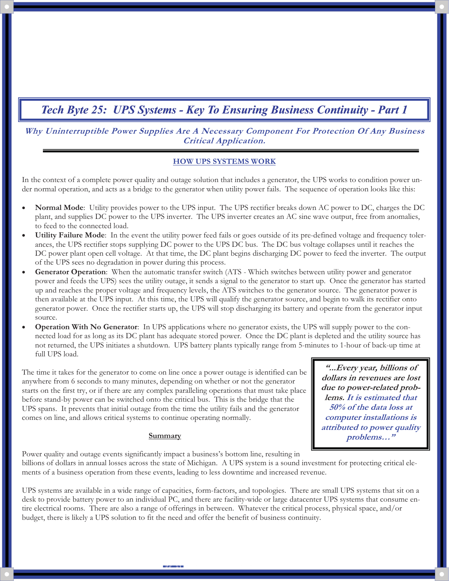**Why Uninterruptible Power Supplies Are A Necessary Component For Protection Of Any Business Critical Application.** 

#### **HOW UPS SYSTEMS WORK**

In the context of a complete power quality and outage solution that includes a generator, the UPS works to condition power under normal operation, and acts as a bridge to the generator when utility power fails. The sequence of operation looks like this:

- - **Normal Mode**: Utility provides power to the UPS input. The UPS rectifier breaks down AC power to DC, charges the DC plant, and supplies DC power to the UPS inverter. The UPS inverter creates an AC sine wave output, free from anomalies, to feed to the connected load.
- - **Utility Failure Mode**: In the event the utility power feed fails or goes outside of its pre-defined voltage and frequency tolerances, the UPS rectifier stops supplying DC power to the UPS DC bus. The DC bus voltage collapses until it reaches the DC power plant open cell voltage. At that time, the DC plant begins discharging DC power to feed the inverter. The output of the UPS sees no degradation in power during this process.
- - **Generator Operation**: When the automatic transfer switch (ATS - Which switches between utility power and generator power and feeds the UPS) sees the utility outage, it sends a signal to the generator to start up. Once the generator has started up and reaches the proper voltage and frequency levels, the ATS switches to the generator source. The generator power is then available at the UPS input. At this time, the UPS will qualify the generator source, and begin to walk its rectifier onto generator power. Once the rectifier starts up, the UPS will stop discharging its battery and operate from the generator input source.
- - **Operation With No Generator**: In UPS applications where no generator exists, the UPS will supply power to the connected load for as long as its DC plant has adequate stored power. Once the DC plant is depleted and the utility source has not returned, the UPS initiates a shutdown. UPS battery plants typically range from 5-minutes to 1-hour of back-up time at full UPS load.

The time it takes for the generator to come on line once a power outage is identified can be anywhere from 6 seconds to many minutes, depending on whether or not the generator starts on the first try, or if there are any complex paralleling operations that must take place before stand-by power can be switched onto the critical bus. This is the bridge that the UPS spans. It prevents that initial outage from the time the utility fails and the generator comes on line, and allows critical systems to continue operating normally.

#### **Summary**

4

**"...Every year, billions of dollars in revenues are lost due to power-related problems. It is estimated that 50% of the data loss at computer installations is attributed to power quality problems…"** 

Power quality and outage events significantly impact a business's bottom line, resulting in billions of dollars in annual losses across the state of Michigan. A UPS system is a sound investment for protecting critical elements of a business operation from these events, leading to less downtime and increased revenue.

UPS systems are available in a wide range of capacities, form-factors, and topologies. There are small UPS systems that sit on a desk to provide battery power to an individual PC, and there are facility-wide or large datacenter UPS systems that consume entire electrical rooms. There are also a range of offerings in between. Whatever the critical process, physical space, and/or budget, there is likely a UPS solution to fit the need and offer the benefit of business continuity.